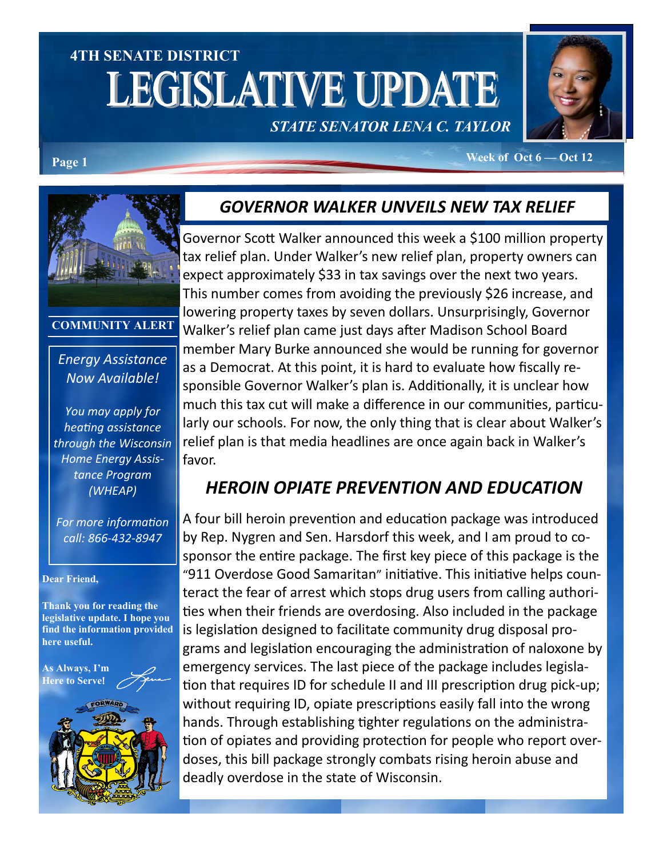# **4TH SENATE DISTRICT LEGISLATIVE UPDATE**

## *STATE SENATOR LENA C. TAYLOR*



**Page 1 Week of Oct 6 — Oct 12** 



**COMMUNITY ALERT**

#### *Energy Assistance Now Available!*

*You may apply for heating assistance through the Wisconsin Home Energy Assistance Program (WHEAP)*

*For more information call: 866-432-8947*

#### **Dear Friend,**

**Thank you for reading the legislative update. I hope you find the information provided here useful.**

**As Always, I'm Here to Serve**!



#### *GOVERNOR WALKER UNVEILS NEW TAX RELIEF*

Governor Scott Walker announced this week a \$100 million property tax relief plan. Under Walker's new relief plan, property owners can expect approximately \$33 in tax savings over the next two years. This number comes from avoiding the previously \$26 increase, and lowering property taxes by seven dollars. Unsurprisingly, Governor Walker's relief plan came just days after Madison School Board member Mary Burke announced she would be running for governor as a Democrat. At this point, it is hard to evaluate how fiscally responsible Governor Walker's plan is. Additionally, it is unclear how much this tax cut will make a difference in our communities, particularly our schools. For now, the only thing that is clear about Walker's relief plan is that media headlines are once again back in Walker's favor.

#### *HEROIN OPIATE PREVENTION AND EDUCATION*

A four bill heroin prevention and education package was introduced by Rep. Nygren and Sen. Harsdorf this week, and I am proud to cosponsor the entire package. The first key piece of this package is the "911 Overdose Good Samaritan" initiative. This initiative helps counteract the fear of arrest which stops drug users from calling authorities when their friends are overdosing. Also included in the package is legislation designed to facilitate community drug disposal programs and legislation encouraging the administration of naloxone by emergency services. The last piece of the package includes legislation that requires ID for schedule II and III prescription drug pick-up; without requiring ID, opiate prescriptions easily fall into the wrong hands. Through establishing tighter regulations on the administration of opiates and providing protection for people who report overdoses, this bill package strongly combats rising heroin abuse and deadly overdose in the state of Wisconsin.